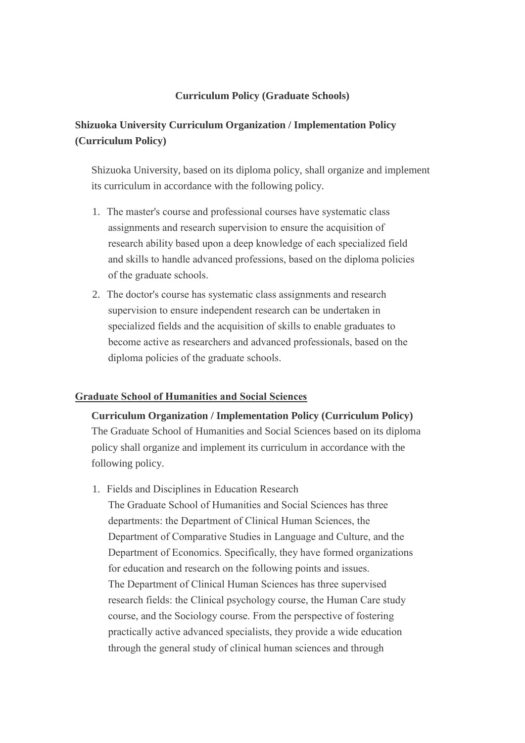## **Curriculum Policy (Graduate Schools)**

# **Shizuoka University Curriculum Organization / Implementation Policy (Curriculum Policy)**

Shizuoka University, based on its diploma policy, shall organize and implement its curriculum in accordance with the following policy.

- 1. The master's course and professional courses have systematic class assignments and research supervision to ensure the acquisition of research ability based upon a deep knowledge of each specialized field and skills to handle advanced professions, based on the diploma policies of the graduate schools.
- 2. The doctor's course has systematic class assignments and research supervision to ensure independent research can be undertaken in specialized fields and the acquisition of skills to enable graduates to become active as researchers and advanced professionals, based on the diploma policies of the graduate schools.

### **Graduate School of Humanities and Social Sciences**

**Curriculum Organization / Implementation Policy (Curriculum Policy)** The Graduate School of Humanities and Social Sciences based on its diploma policy shall organize and implement its curriculum in accordance with the following policy.

1. Fields and Disciplines in Education Research

The Graduate School of Humanities and Social Sciences has three departments: the Department of Clinical Human Sciences, the Department of Comparative Studies in Language and Culture, and the Department of Economics. Specifically, they have formed organizations for education and research on the following points and issues. The Department of Clinical Human Sciences has three supervised research fields: the Clinical psychology course, the Human Care study course, and the Sociology course. From the perspective of fostering practically active advanced specialists, they provide a wide education through the general study of clinical human sciences and through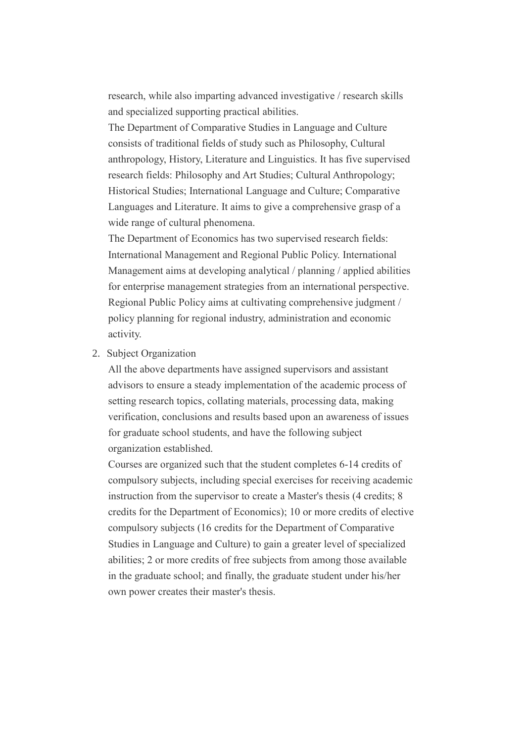research, while also imparting advanced investigative / research skills and specialized supporting practical abilities.

The Department of Comparative Studies in Language and Culture consists of traditional fields of study such as Philosophy, Cultural anthropology, History, Literature and Linguistics. It has five supervised research fields: Philosophy and Art Studies; Cultural Anthropology; Historical Studies; International Language and Culture; Comparative Languages and Literature. It aims to give a comprehensive grasp of a wide range of cultural phenomena.

The Department of Economics has two supervised research fields: International Management and Regional Public Policy. International Management aims at developing analytical / planning / applied abilities for enterprise management strategies from an international perspective. Regional Public Policy aims at cultivating comprehensive judgment / policy planning for regional industry, administration and economic activity.

2. Subject Organization

All the above departments have assigned supervisors and assistant advisors to ensure a steady implementation of the academic process of setting research topics, collating materials, processing data, making verification, conclusions and results based upon an awareness of issues for graduate school students, and have the following subject organization established.

Courses are organized such that the student completes 6-14 credits of compulsory subjects, including special exercises for receiving academic instruction from the supervisor to create a Master's thesis (4 credits; 8 credits for the Department of Economics); 10 or more credits of elective compulsory subjects (16 credits for the Department of Comparative Studies in Language and Culture) to gain a greater level of specialized abilities; 2 or more credits of free subjects from among those available in the graduate school; and finally, the graduate student under his/her own power creates their master's thesis.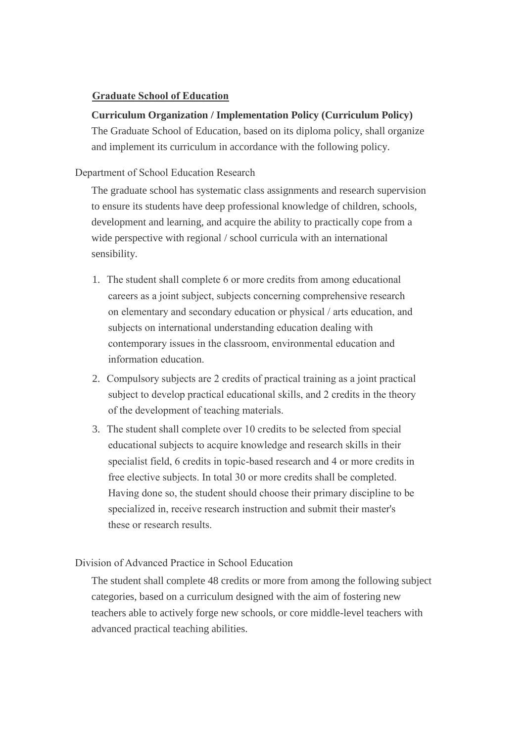## **Graduate School of Education**

# **Curriculum Organization / Implementation Policy (Curriculum Policy)**

The Graduate School of Education, based on its diploma policy, shall organize and implement its curriculum in accordance with the following policy.

## Department of School Education Research

The graduate school has systematic class assignments and research supervision to ensure its students have deep professional knowledge of children, schools, development and learning, and acquire the ability to practically cope from a wide perspective with regional / school curricula with an international sensibility.

- 1. The student shall complete 6 or more credits from among educational careers as a joint subject, subjects concerning comprehensive research on elementary and secondary education or physical / arts education, and subjects on international understanding education dealing with contemporary issues in the classroom, environmental education and information education.
- 2. Compulsory subjects are 2 credits of practical training as a joint practical subject to develop practical educational skills, and 2 credits in the theory of the development of teaching materials.
- 3. The student shall complete over 10 credits to be selected from special educational subjects to acquire knowledge and research skills in their specialist field, 6 credits in topic-based research and 4 or more credits in free elective subjects. In total 30 or more credits shall be completed. Having done so, the student should choose their primary discipline to be specialized in, receive research instruction and submit their master's these or research results.

Division of Advanced Practice in School Education

The student shall complete 48 credits or more from among the following subject categories, based on a curriculum designed with the aim of fostering new teachers able to actively forge new schools, or core middle-level teachers with advanced practical teaching abilities.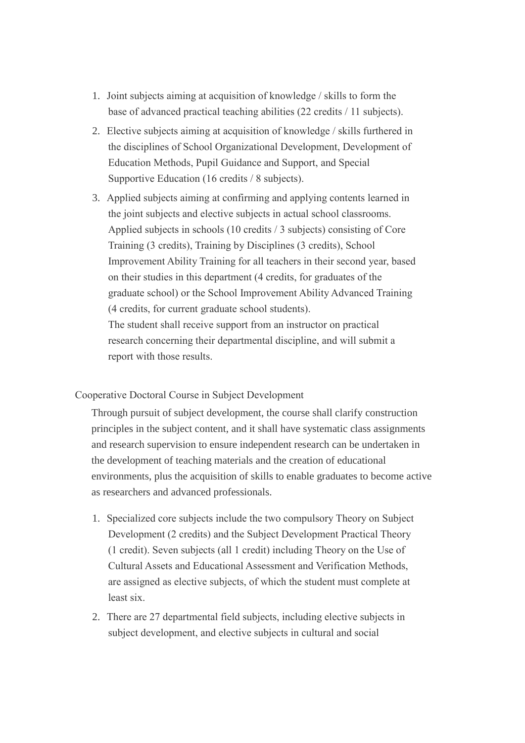- 1. Joint subjects aiming at acquisition of knowledge / skills to form the base of advanced practical teaching abilities (22 credits / 11 subjects).
- 2. Elective subjects aiming at acquisition of knowledge / skills furthered in the disciplines of School Organizational Development, Development of Education Methods, Pupil Guidance and Support, and Special Supportive Education (16 credits / 8 subjects).
- 3. Applied subjects aiming at confirming and applying contents learned in the joint subjects and elective subjects in actual school classrooms. Applied subjects in schools (10 credits / 3 subjects) consisting of Core Training (3 credits), Training by Disciplines (3 credits), School Improvement Ability Training for all teachers in their second year, based on their studies in this department (4 credits, for graduates of the graduate school) or the School Improvement Ability Advanced Training (4 credits, for current graduate school students). The student shall receive support from an instructor on practical research concerning their departmental discipline, and will submit a report with those results.

### Cooperative Doctoral Course in Subject Development

Through pursuit of subject development, the course shall clarify construction principles in the subject content, and it shall have systematic class assignments and research supervision to ensure independent research can be undertaken in the development of teaching materials and the creation of educational environments, plus the acquisition of skills to enable graduates to become active as researchers and advanced professionals.

- 1. Specialized core subjects include the two compulsory Theory on Subject Development (2 credits) and the Subject Development Practical Theory (1 credit). Seven subjects (all 1 credit) including Theory on the Use of Cultural Assets and Educational Assessment and Verification Methods, are assigned as elective subjects, of which the student must complete at least six.
- 2. There are 27 departmental field subjects, including elective subjects in subject development, and elective subjects in cultural and social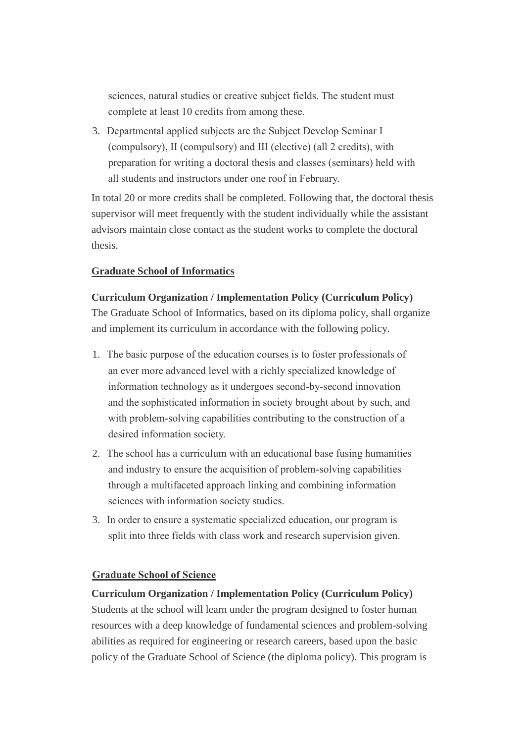sciences, natural studies or creative subject fields. The student must complete at least 10 credits from among these.

3. Departmental applied subjects are the Subject Develop Seminar I (compulsory), II (compulsory) and III (elective) (all 2 credits), with preparation for writing a doctoral thesis and classes (seminars) held with all students and instructors under one roof in February.

In total 20 or more credits shall be completed. Following that, the doctoral thesis supervisor will meet frequently with the student individually while the assistant advisors maintain close contact as the student works to complete the doctoral thesis.

## **Graduate School of Informatics**

#### **Curriculum Organization / Implementation Policy (Curriculum Policy)**

The Graduate School of Informatics, based on its diploma policy, shall organize and implement its curriculum in accordance with the following policy.

- 1. The basic purpose of the education courses is to foster professionals of an ever more advanced level with a richly specialized knowledge of information technology as it undergoes second-by-second innovation and the sophisticated information in society brought about by such, and with problem-solving capabilities contributing to the construction of a desired information society.
- 2. The school has a curriculum with an educational base fusing humanities and industry to ensure the acquisition of problem-solving capabilities through a multifaceted approach linking and combining information sciences with information society studies.
- 3. In order to ensure a systematic specialized education, our program is split into three fields with class work and research supervision given.

### **Graduate School of Science**

## **Curriculum Organization / Implementation Policy (Curriculum Policy)**

Students at the school will learn under the program designed to foster human resources with a deep knowledge of fundamental sciences and problem-solving abilities as required for engineering or research careers, based upon the basic policy of the Graduate School of Science (the diploma policy). This program is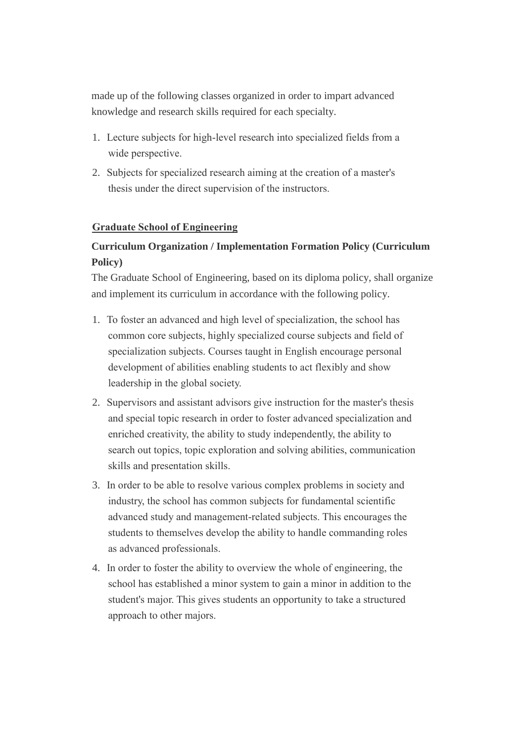made up of the following classes organized in order to impart advanced knowledge and research skills required for each specialty.

- 1. Lecture subjects for high-level research into specialized fields from a wide perspective.
- 2. Subjects for specialized research aiming at the creation of a master's thesis under the direct supervision of the instructors.

# **Graduate School of Engineering**

# **Curriculum Organization / Implementation Formation Policy (Curriculum Policy)**

The Graduate School of Engineering, based on its diploma policy, shall organize and implement its curriculum in accordance with the following policy.

- 1. To foster an advanced and high level of specialization, the school has common core subjects, highly specialized course subjects and field of specialization subjects. Courses taught in English encourage personal development of abilities enabling students to act flexibly and show leadership in the global society.
- 2. Supervisors and assistant advisors give instruction for the master's thesis and special topic research in order to foster advanced specialization and enriched creativity, the ability to study independently, the ability to search out topics, topic exploration and solving abilities, communication skills and presentation skills.
- 3. In order to be able to resolve various complex problems in society and industry, the school has common subjects for fundamental scientific advanced study and management-related subjects. This encourages the students to themselves develop the ability to handle commanding roles as advanced professionals.
- 4. In order to foster the ability to overview the whole of engineering, the school has established a minor system to gain a minor in addition to the student's major. This gives students an opportunity to take a structured approach to other majors.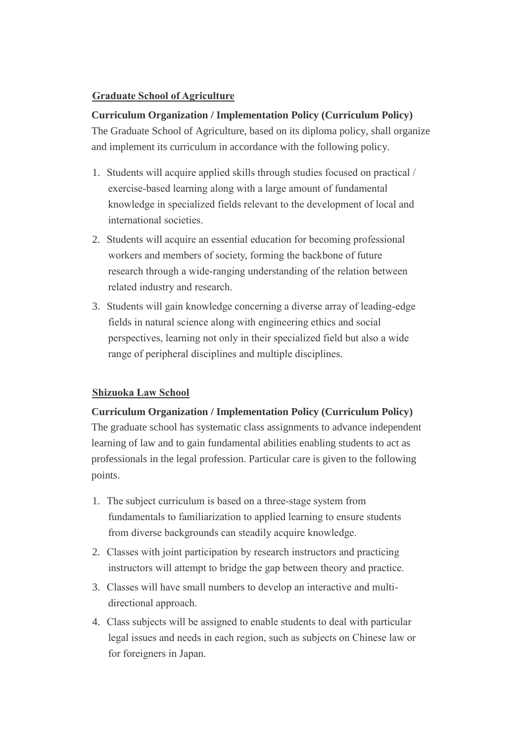# **Graduate School of Agriculture**

# **Curriculum Organization / Implementation Policy (Curriculum Policy)**

The Graduate School of Agriculture, based on its diploma policy, shall organize and implement its curriculum in accordance with the following policy.

- 1. Students will acquire applied skills through studies focused on practical / exercise-based learning along with a large amount of fundamental knowledge in specialized fields relevant to the development of local and international societies.
- 2. Students will acquire an essential education for becoming professional workers and members of society, forming the backbone of future research through a wide-ranging understanding of the relation between related industry and research.
- 3. Students will gain knowledge concerning a diverse array of leading-edge fields in natural science along with engineering ethics and social perspectives, learning not only in their specialized field but also a wide range of peripheral disciplines and multiple disciplines.

## **Shizuoka Law School**

## **Curriculum Organization / Implementation Policy (Curriculum Policy)**

The graduate school has systematic class assignments to advance independent learning of law and to gain fundamental abilities enabling students to act as professionals in the legal profession. Particular care is given to the following points.

- 1. The subject curriculum is based on a three-stage system from fundamentals to familiarization to applied learning to ensure students from diverse backgrounds can steadily acquire knowledge.
- 2. Classes with joint participation by research instructors and practicing instructors will attempt to bridge the gap between theory and practice.
- 3. Classes will have small numbers to develop an interactive and multidirectional approach.
- 4. Class subjects will be assigned to enable students to deal with particular legal issues and needs in each region, such as subjects on Chinese law or for foreigners in Japan.